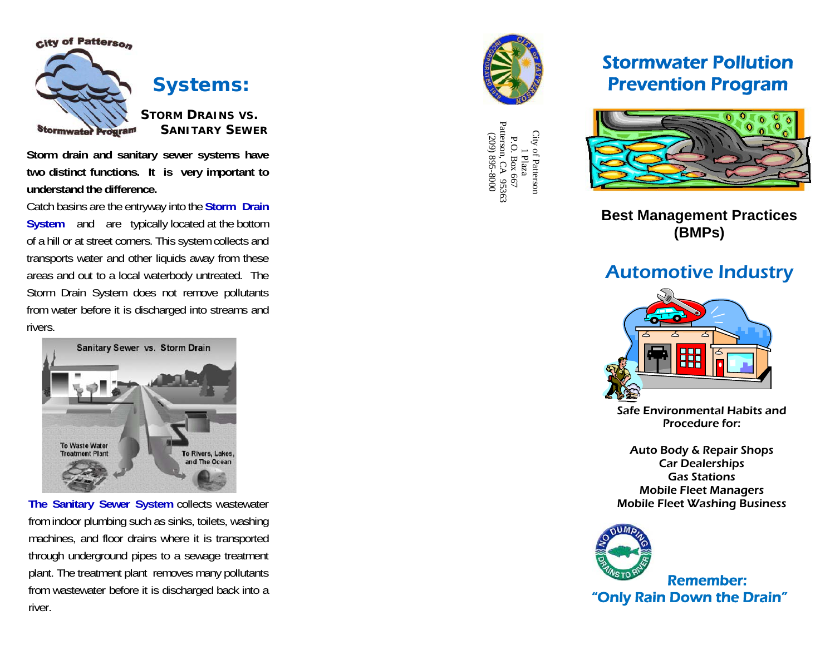

**Storm drain and sanitary sewer systems have two distinct functions. It is very important to understand the difference.** 

Catch basins are the entryway into the **Storm Drain System** and are typically located at the bottom of a hill or at street corners. This system collects and transports water and other liquids away from these areas and out to a local waterbody untreated. The Storm Drain System does not remove pollutants from water before it is discharged into streams and rivers.

Sanitary Sewer vs. Storm Drain To Waste Water **Treatment Plan** To Rivers, Lakes, and The Ocean

**The Sanitary Sewer System** collects wastewater from indoor plumbing such as sinks, toilets, washing machines, and floor drains where it is transported through underground pipes to a sewage treatment plant. The treatment plant removes many pollutants from wastewater before it is discharged back into a river.



P.O. Box 667<br>Patterson, CA 95363<br>(209) 895-8000 Patterson, CA 95363 City of Pattersor<br>1 Plaza City of Patterson (209) 895-8000 P.O. Box 667

# Stormwater Pollution Prevention Program



**Best Management Practices (BMPs)**

# Automotive Industry



Safe Environmental Habits and Procedure for:

Auto Body & Repair Shops Car Dealerships Gas Stations Mobile Fleet Managers Mobile Fleet Washing Business